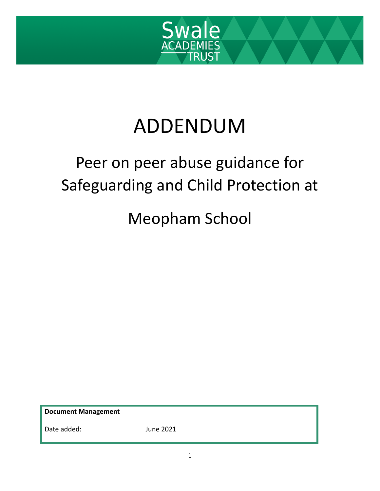

# ADDENDUM

## Peer on peer abuse guidance for Safeguarding and Child Protection at

### Meopham School

**Document Management**

Date added: June 2021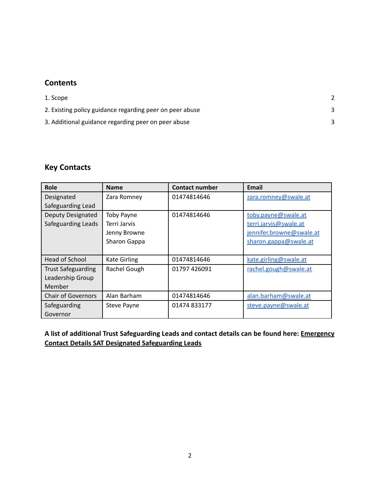#### **Contents**

| 1. Scope                                                 |  |
|----------------------------------------------------------|--|
| 2. Existing policy guidance regarding peer on peer abuse |  |
| 3. Additional guidance regarding peer on peer abuse      |  |

#### **Key Contacts**

| Role                      | <b>Name</b>         | <b>Contact number</b> | <b>Email</b>             |
|---------------------------|---------------------|-----------------------|--------------------------|
| Designated                | Zara Romney         | 01474814646           | zara.romney@swale.at     |
| Safeguarding Lead         |                     |                       |                          |
| Deputy Designated         | <b>Toby Payne</b>   | 01474814646           | toby.payne@swale.at      |
| Safeguarding Leads        | Terri Jarvis        |                       | terri.jarvis@swale.at    |
|                           | Jenny Browne        |                       | jennifer.browne@swale.at |
|                           | Sharon Gappa        |                       | sharon.gappa@swale.at    |
|                           |                     |                       |                          |
| Head of School            | <b>Kate Girling</b> | 01474814646           | kate.girling@swale.at    |
| <b>Trust Safeguarding</b> | Rachel Gough        | 01797 426091          | rachel.gough@swale.at    |
| Leadership Group          |                     |                       |                          |
| Member                    |                     |                       |                          |
| <b>Chair of Governors</b> | Alan Barham         | 01474814646           | alan.barham@swale.at     |
| Safeguarding              | <b>Steve Payne</b>  | 01474 833177          | steve.payne@swale.at     |
| Governor                  |                     |                       |                          |

**A list of additional Trust Safeguarding Leads and contact details can be found here: [Emergency](https://docs.google.com/document/d/1x--XPg1uQbnrYfWj1n6JDPfWInKnHiA4aqfgSTLfFXE/edit) [Contact Details SAT Designated Safeguarding Leads](https://docs.google.com/document/d/1x--XPg1uQbnrYfWj1n6JDPfWInKnHiA4aqfgSTLfFXE/edit)**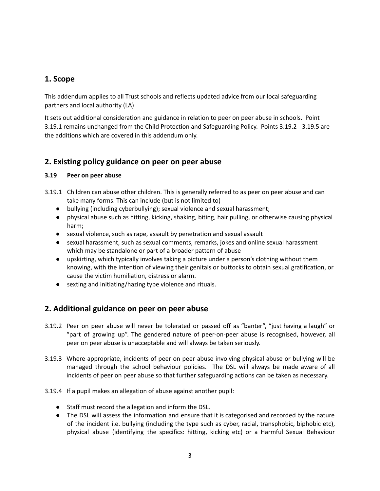#### **1. Scope**

This addendum applies to all Trust schools and reflects updated advice from our local safeguarding partners and local authority (LA)

It sets out additional consideration and guidance in relation to peer on peer abuse in schools. Point 3.19.1 remains unchanged from the Child Protection and Safeguarding Policy. Points 3.19.2 - 3.19.5 are the additions which are covered in this addendum only.

#### **2. Existing policy guidance on peer on peer abuse**

#### **3.19 Peer on peer abuse**

- 3.19.1 Children can abuse other children. This is generally referred to as peer on peer abuse and can take many forms. This can include (but is not limited to)
	- bullying (including cyberbullying); sexual violence and sexual harassment;
	- physical abuse such as hitting, kicking, shaking, biting, hair pulling, or otherwise causing physical harm;
	- sexual violence, such as rape, assault by penetration and sexual assault
	- sexual harassment, such as sexual comments, remarks, jokes and online sexual harassment which may be standalone or part of a broader pattern of abuse
	- upskirting, which typically involves taking a picture under a person's clothing without them knowing, with the intention of viewing their genitals or buttocks to obtain sexual gratification, or cause the victim humiliation, distress or alarm.
	- sexting and initiating/hazing type violence and rituals.

#### **2. Additional guidance on peer on peer abuse**

- 3.19.2 Peer on peer abuse will never be tolerated or passed off as "banter", "just having a laugh" or "part of growing up". The gendered nature of peer-on-peer abuse is recognised, however, all peer on peer abuse is unacceptable and will always be taken seriously.
- 3.19.3 Where appropriate, incidents of peer on peer abuse involving physical abuse or bullying will be managed through the school behaviour policies. The DSL will always be made aware of all incidents of peer on peer abuse so that further safeguarding actions can be taken as necessary.
- 3.19.4 If a pupil makes an allegation of abuse against another pupil:
	- Staff must record the allegation and inform the DSL.
	- The DSL will assess the information and ensure that it is categorised and recorded by the nature of the incident i.e. bullying (including the type such as cyber, racial, transphobic, biphobic etc), physical abuse (identifying the specifics: hitting, kicking etc) or a Harmful Sexual Behaviour